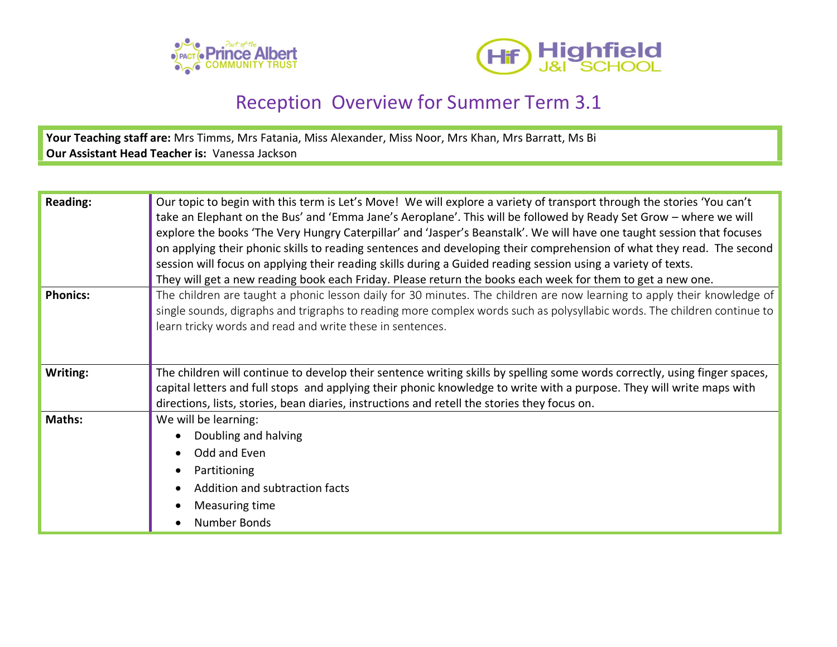



## Reception Overview for Summer Term 3.1

**Your Teaching staff are:** Mrs Timms, Mrs Fatania, Miss Alexander, Miss Noor, Mrs Khan, Mrs Barratt, Ms Bi **Our Assistant Head Teacher is:** Vanessa Jackson

| <b>Reading:</b> | Our topic to begin with this term is Let's Move! We will explore a variety of transport through the stories 'You can't<br>take an Elephant on the Bus' and 'Emma Jane's Aeroplane'. This will be followed by Ready Set Grow - where we will<br>explore the books 'The Very Hungry Caterpillar' and 'Jasper's Beanstalk'. We will have one taught session that focuses<br>on applying their phonic skills to reading sentences and developing their comprehension of what they read. The second<br>session will focus on applying their reading skills during a Guided reading session using a variety of texts.<br>They will get a new reading book each Friday. Please return the books each week for them to get a new one. |
|-----------------|-------------------------------------------------------------------------------------------------------------------------------------------------------------------------------------------------------------------------------------------------------------------------------------------------------------------------------------------------------------------------------------------------------------------------------------------------------------------------------------------------------------------------------------------------------------------------------------------------------------------------------------------------------------------------------------------------------------------------------|
| <b>Phonics:</b> | The children are taught a phonic lesson daily for 30 minutes. The children are now learning to apply their knowledge of<br>single sounds, digraphs and trigraphs to reading more complex words such as polysyllabic words. The children continue to<br>learn tricky words and read and write these in sentences.                                                                                                                                                                                                                                                                                                                                                                                                              |
| Writing:        | The children will continue to develop their sentence writing skills by spelling some words correctly, using finger spaces,<br>capital letters and full stops and applying their phonic knowledge to write with a purpose. They will write maps with<br>directions, lists, stories, bean diaries, instructions and retell the stories they focus on.                                                                                                                                                                                                                                                                                                                                                                           |
| <b>Maths:</b>   | We will be learning:<br>Doubling and halving<br>Odd and Even<br>Partitioning<br>Addition and subtraction facts<br>Measuring time<br>Number Bonds                                                                                                                                                                                                                                                                                                                                                                                                                                                                                                                                                                              |